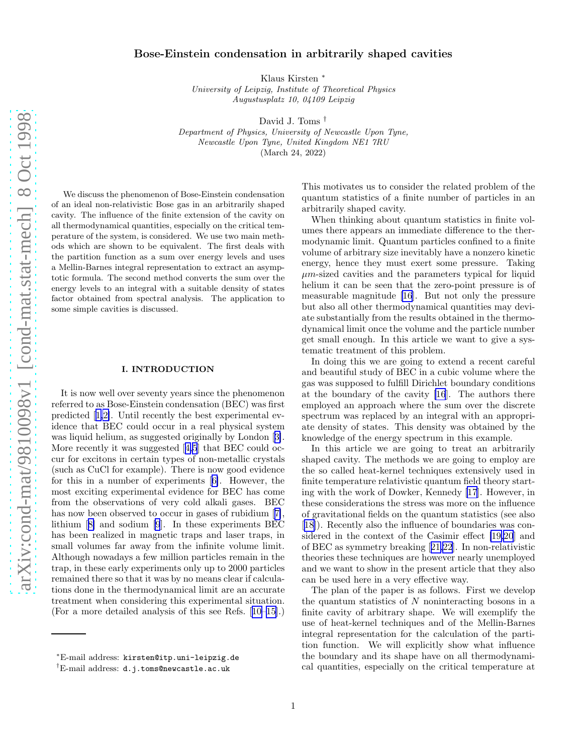# Bose-Einstein condensation in arbitrarily shaped cavities

Klaus Kirsten <sup>∗</sup>

University of Leipzig, Institute of Theoretical Physics Augustusplatz 10, 04109 Leipzig

David J. Toms † Department of Physics, University of Newcastle Upon Tyne, Newcastle Upon Tyne, United Kingdom NE1 7RU (March 24, 2022)

We discuss the phenomenon of Bose-Einstein condensation of an ideal non-relativistic Bose gas in an arbitrarily shaped cavity. The influence of the finite extension of the cavity on all thermodynamical quantities, especially on the critical temperature of the system, is considered. We use two main methods which are shown to be equivalent. The first deals with the partition function as a sum over energy levels and uses a Mellin-Barnes integral representation to extract an asymptotic formula. The second method converts the sum over the energy levels to an integral with a suitable density of states factor obtained from spectral analysis. The application to some simple cavities is discussed.

#### I. INTRODUCTION

It is now well over seventy years since the phenomenon referred to as Bose-Einstein condensation (BEC) was first predicted[[1,2\]](#page-8-0). Until recently the best experimental evidence that BEC could occur in a real physical system was liquid helium, as suggested originally by London[[3\]](#page-8-0). More recently it was suggested[[4,5](#page-8-0)] that BEC could occur for excitons in certain types of non-metallic crystals (such as CuCl for example). There is now good evidence for this in a number of experiments[[6\]](#page-8-0). However, the most exciting experimental evidence for BEC has come from the observations of very cold alkali gases. BEC hasnow been observed to occur in gases of rubidium [[7\]](#page-9-0), lithium[[8\]](#page-9-0) and sodium [\[9](#page-9-0)]. In these experiments BEC has been realized in magnetic traps and laser traps, in small volumes far away from the infinite volume limit. Although nowadays a few million particles remain in the trap, in these early experiments only up to 2000 particles remained there so that it was by no means clear if calculations done in the thermodynamical limit are an accurate treatment when considering this experimental situation. (For a more detailed analysis of this see Refs.[[10–15\]](#page-9-0).)

This motivates us to consider the related problem of the quantum statistics of a finite number of particles in an arbitrarily shaped cavity.

When thinking about quantum statistics in finite volumes there appears an immediate difference to the thermodynamic limit. Quantum particles confined to a finite volume of arbitrary size inevitably have a nonzero kinetic energy, hence they must exert some pressure. Taking  $\mu$ m-sized cavities and the parameters typical for liquid helium it can be seen that the zero-point pressure is of measurable magnitude [\[16](#page-9-0)]. But not only the pressure but also all other thermodynamical quantities may deviate substantially from the results obtained in the thermodynamical limit once the volume and the particle number get small enough. In this article we want to give a systematic treatment of this problem.

In doing this we are going to extend a recent careful and beautiful study of BEC in a cubic volume where the gas was supposed to fulfill Dirichlet boundary conditions at the boundary of the cavity [\[16](#page-9-0)]. The authors there employed an approach where the sum over the discrete spectrum was replaced by an integral with an appropriate density of states. This density was obtained by the knowledge of the energy spectrum in this example.

In this article we are going to treat an arbitrarily shaped cavity. The methods we are going to employ are the so called heat-kernel techniques extensively used in finite temperature relativistic quantum field theory starting with the work of Dowker, Kennedy [\[17](#page-9-0)]. However, in these considerations the stress was more on the influence of gravitational fields on the quantum statistics (see also [[18\]](#page-9-0)). Recently also the influence of boundaries was considered in the context of the Casimir effect [\[19,20](#page-9-0)] and of BEC as symmetry breaking[[21,22](#page-9-0)]. In non-relativistic theories these techniques are however nearly unemployed and we want to show in the present article that they also can be used here in a very effective way.

The plan of the paper is as follows. First we develop the quantum statistics of  $N$  noninteracting bosons in a finite cavity of arbitrary shape. We will exemplify the use of heat-kernel techniques and of the Mellin-Barnes integral representation for the calculation of the partition function. We will explicitly show what influence the boundary and its shape have on all thermodynamical quantities, especially on the critical temperature at

<sup>∗</sup>E-mail address: kirsten@itp.uni-leipzig.de

<sup>†</sup>E-mail address: d.j.toms@newcastle.ac.uk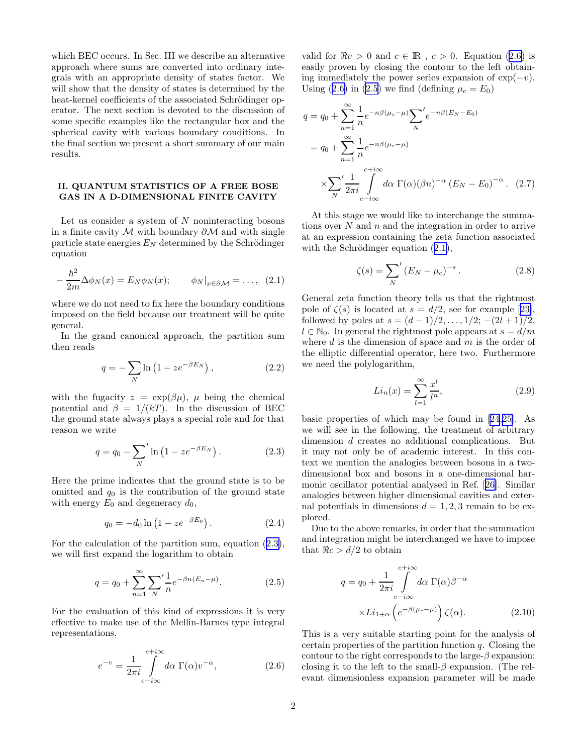<span id="page-1-0"></span>which BEC occurs. In Sec. III we describe an alternative approach where sums are converted into ordinary integrals with an appropriate density of states factor. We will show that the density of states is determined by the heat-kernel coefficients of the associated Schrödinger operator. The next section is devoted to the discussion of some specific examples like the rectangular box and the spherical cavity with various boundary conditions. In the final section we present a short summary of our main results.

# II. QUANTUM STATISTICS OF A FREE BOSE GAS IN A D-DIMENSIONAL FINITE CAVITY

Let us consider a system of  $N$  noninteracting bosons in a finite cavity  $M$  with boundary  $\partial M$  and with single particle state energies  $E<sub>N</sub>$  determined by the Schrödinger equation

$$
-\frac{\hbar^2}{2m}\Delta\phi_N(x) = E_N\phi_N(x); \qquad \phi_N|_{x \in \partial\mathcal{M}} = \dots, \tag{2.1}
$$

where we do not need to fix here the boundary conditions imposed on the field because our treatment will be quite general.

In the grand canonical approach, the partition sum then reads

$$
q = -\sum_{N} \ln\left(1 - z e^{-\beta E_N}\right),\tag{2.2}
$$

with the fugacity  $z = \exp(\beta \mu)$ ,  $\mu$  being the chemical potential and  $\beta = 1/(kT)$ . In the discussion of BEC the ground state always plays a special role and for that reason we write

$$
q = q_0 - \sum_{N} \ln(1 - z e^{-\beta E_N}).
$$
 (2.3)

Here the prime indicates that the ground state is to be omitted and  $q_0$  is the contribution of the ground state with energy  $E_0$  and degeneracy  $d_0$ ,

$$
q_0 = -d_0 \ln \left( 1 - z e^{-\beta E_0} \right). \tag{2.4}
$$

For the calculation of the partition sum, equation (2.3), we will first expand the logarithm to obtain

$$
q = q_0 + \sum_{n=1}^{\infty} \sum_{N} \frac{1}{n} e^{-\beta n (E_n - \mu)}.
$$
 (2.5)

For the evaluation of this kind of expressions it is very effective to make use of the Mellin-Barnes type integral representations,

$$
e^{-v} = \frac{1}{2\pi i} \int_{c-i\infty}^{c+i\infty} d\alpha \, \Gamma(\alpha) v^{-\alpha},\tag{2.6}
$$

valid for  $\Re v > 0$  and  $c \in \mathbb{R}$ ,  $c > 0$ . Equation (2.6) is easily proven by closing the contour to the left obtaining immediately the power series expansion of  $\exp(-v)$ . Using (2.6) in (2.5) we find (defining  $\mu_c = E_0$ )

$$
q = q_0 + \sum_{n=1}^{\infty} \frac{1}{n} e^{-n\beta(\mu_c - \mu)} \sum_N' e^{-n\beta(E_N - E_0)}
$$
  
=  $q_0 + \sum_{n=1}^{\infty} \frac{1}{n} e^{-n\beta(\mu_c - \mu)}$   
 $\times \sum_N' \frac{1}{2\pi i} \int_{c-i\infty}^{c+i\infty} d\alpha \Gamma(\alpha) (\beta n)^{-\alpha} (E_N - E_0)^{-\alpha}.$  (2.7)

At this stage we would like to interchange the summations over  $N$  and  $n$  and the integration in order to arrive at an expression containing the zeta function associated with the Schrödinger equation  $(2.1)$ ,

$$
\zeta(s) = \sum_{N}^{\prime} (E_N - \mu_c)^{-s} . \tag{2.8}
$$

General zeta function theory tells us that the rightmost poleof  $\zeta(s)$  is located at  $s = d/2$ , see for example [[23\]](#page-9-0), followed by poles at  $s = (d-1)/2, \ldots, 1/2; -(2l+1)/2,$  $l \in \mathbb{N}_0$ . In general the rightmost pole appears at  $s = d/m$ where  $d$  is the dimension of space and  $m$  is the order of the elliptic differential operator, here two. Furthermore we need the polylogarithm,

$$
Li_n(x) = \sum_{l=1}^{\infty} \frac{x^l}{l^n},
$$
\n(2.9)

basic properties of which may be found in[[24,25\]](#page-9-0). As we will see in the following, the treatment of arbitrary dimension d creates no additional complications. But it may not only be of academic interest. In this context we mention the analogies between bosons in a twodimensional box and bosons in a one-dimensional harmonic oscillator potential analysed in Ref.[[26\]](#page-9-0). Similar analogies between higher dimensional cavities and external potentials in dimensions  $d = 1, 2, 3$  remain to be explored.

Due to the above remarks, in order that the summation and integration might be interchanged we have to impose that  $\Re c > d/2$  to obtain

$$
q = q_0 + \frac{1}{2\pi i} \int_{c-i\infty}^{c+i\infty} d\alpha \, \Gamma(\alpha) \beta^{-\alpha}
$$

$$
\times Li_{1+\alpha} \left( e^{-\beta(\mu_c - \mu)} \right) \zeta(\alpha). \tag{2.10}
$$

This is a very suitable starting point for the analysis of certain properties of the partition function  $q$ . Closing the contour to the right corresponds to the large- $\beta$  expansion: closing it to the left to the small- $\beta$  expansion. (The relevant dimensionless expansion parameter will be made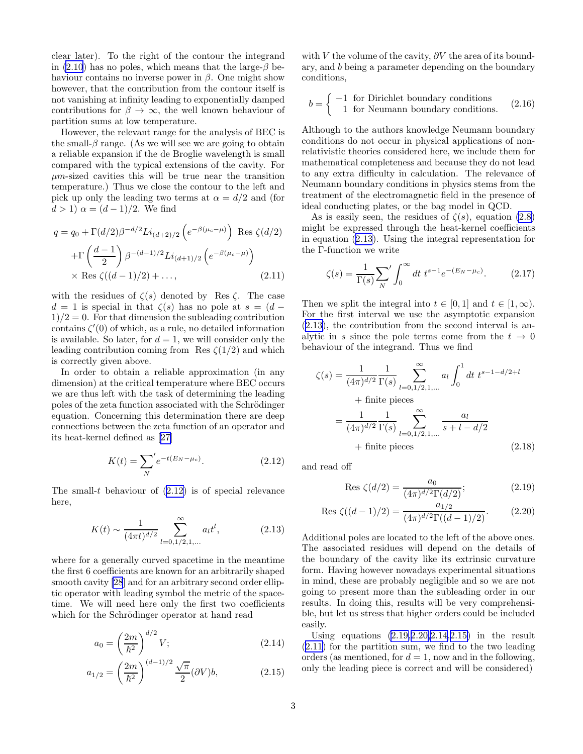<span id="page-2-0"></span>clear later). To the right of the contour the integrand in [\(2.10](#page-1-0)) has no poles, which means that the large- $\beta$  behaviour contains no inverse power in  $\beta$ . One might show however, that the contribution from the contour itself is not vanishing at infinity leading to exponentially damped contributions for  $\beta \to \infty$ , the well known behaviour of partition sums at low temperature.

However, the relevant range for the analysis of BEC is the small- $\beta$  range. (As we will see we are going to obtain a reliable expansion if the de Broglie wavelength is small compared with the typical extensions of the cavity. For  $\mu$ m-sized cavities this will be true near the transition temperature.) Thus we close the contour to the left and pick up only the leading two terms at  $\alpha = d/2$  and (for  $d > 1$ )  $\alpha = (d - 1)/2$ . We find

$$
q = q_0 + \Gamma(d/2)\beta^{-d/2} Li_{(d+2)/2} \left(e^{-\beta(\mu_c - \mu)}\right) \text{Res } \zeta(d/2)
$$

$$
+ \Gamma\left(\frac{d-1}{2}\right)\beta^{-(d-1)/2} Li_{(d+1)/2} \left(e^{-\beta(\mu_c - \mu)}\right)
$$

$$
\times \text{Res } \zeta((d-1)/2) + \dots, \tag{2.11}
$$

with the residues of  $\zeta(s)$  denoted by Res  $\zeta$ . The case  $d = 1$  is special in that  $\zeta(s)$  has no pole at  $s = (d 1/2 = 0$ . For that dimension the subleading contribution contains  $\zeta'(0)$  of which, as a rule, no detailed information is available. So later, for  $d = 1$ , we will consider only the leading contribution coming from Res  $\zeta(1/2)$  and which is correctly given above.

In order to obtain a reliable approximation (in any dimension) at the critical temperature where BEC occurs we are thus left with the task of determining the leading poles of the zeta function associated with the Schrödinger equation. Concerning this determination there are deep connections between the zeta function of an operator and its heat-kernel defined as[[27\]](#page-9-0)

$$
K(t) = \sum_{N}^{\prime} e^{-t(E_N - \mu_c)}.
$$
\n(2.12)

The small- $t$  behaviour of  $(2.12)$  is of special relevance here,

$$
K(t) \sim \frac{1}{(4\pi t)^{d/2}} \sum_{l=0,1/2,1,\dots}^{\infty} a_l t^l,
$$
 (2.13)

where for a generally curved spacetime in the meantime the first 6 coefficients are known for an arbitrarily shaped smooth cavity [\[28](#page-9-0)] and for an arbitrary second order elliptic operator with leading symbol the metric of the spacetime. We will need here only the first two coefficients which for the Schrödinger operator at hand read

$$
a_0 = \left(\frac{2m}{\hbar^2}\right)^{d/2} V; \tag{2.14}
$$

$$
a_{1/2} = \left(\frac{2m}{\hbar^2}\right)^{(d-1)/2} \frac{\sqrt{\pi}}{2} (\partial V) b, \tag{2.15}
$$

with V the volume of the cavity,  $\partial V$  the area of its boundary, and b being a parameter depending on the boundary conditions,

$$
b = \begin{cases} -1 & \text{for Dirichlet boundary conditions} \\ 1 & \text{for Neumann boundary conditions.} \end{cases} \tag{2.16}
$$

Although to the authors knowledge Neumann boundary conditions do not occur in physical applications of nonrelativistic theories considered here, we include them for mathematical completeness and because they do not lead to any extra difficulty in calculation. The relevance of Neumann boundary conditions in physics stems from the treatment of the electromagnetic field in the presence of ideal conducting plates, or the bag model in QCD.

As is easily seen, the residues of  $\zeta(s)$ , equation [\(2.8](#page-1-0)) might be expressed through the heat-kernel coefficients in equation (2.13). Using the integral representation for the Γ-function we write

$$
\zeta(s) = \frac{1}{\Gamma(s)} \sum_{N} \int_{0}^{\infty} dt \ t^{s-1} e^{-(E_{N} - \mu_{c})}.
$$
 (2.17)

Then we split the integral into  $t \in [0,1]$  and  $t \in [1,\infty)$ . For the first interval we use the asymptotic expansion (2.13), the contribution from the second interval is analytic in s since the pole terms come from the  $t \to 0$ behaviour of the integrand. Thus we find

$$
\zeta(s) = \frac{1}{(4\pi)^{d/2}} \frac{1}{\Gamma(s)} \sum_{l=0,1/2,1,...}^{\infty} a_l \int_0^1 dt \ t^{s-1-d/2+l}
$$
  
+ finite pieces  

$$
= \frac{1}{(4\pi)^{d/2}} \frac{1}{\Gamma(s)} \sum_{l=0,1/2,1,...}^{\infty} \frac{a_l}{s+l-d/2}
$$

$$
+ \text{finite pieces} \qquad (2.18)
$$

and read off

Res 
$$
\zeta(d/2) = \frac{a_0}{(4\pi)^{d/2}\Gamma(d/2)}
$$
; (2.19)

Res 
$$
\zeta((d-1)/2) = \frac{a_{1/2}}{(4\pi)^{d/2}\Gamma((d-1)/2)}
$$
. (2.20)

Additional poles are located to the left of the above ones. The associated residues will depend on the details of the boundary of the cavity like its extrinsic curvature form. Having however nowadays experimental situations in mind, these are probably negligible and so we are not going to present more than the subleading order in our results. In doing this, results will be very comprehensible, but let us stress that higher orders could be included easily.

Using equations  $(2.19, 2.20, 2.14, 2.15)$  in the result (2.11) for the partition sum, we find to the two leading orders (as mentioned, for  $d = 1$ , now and in the following, only the leading piece is correct and will be considered)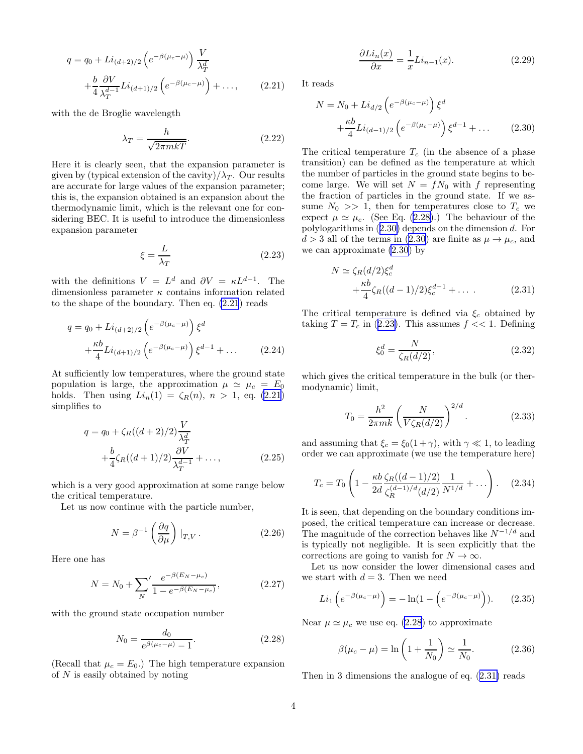<span id="page-3-0"></span>
$$
q = q_0 + Li_{(d+2)/2} \left( e^{-\beta(\mu_c - \mu)} \right) \frac{V}{\lambda_T^d}
$$
  
+  $\frac{b}{4} \frac{\partial V}{\lambda_T^{d-1}} Li_{(d+1)/2} \left( e^{-\beta(\mu_c - \mu)} \right) + ...,$  (2.21)

with the de Broglie wavelength

$$
\lambda_T = \frac{h}{\sqrt{2\pi mkT}}.\tag{2.22}
$$

Here it is clearly seen, that the expansion parameter is given by (typical extension of the cavity)/ $\lambda_T$ . Our results are accurate for large values of the expansion parameter; this is, the expansion obtained is an expansion about the thermodynamic limit, which is the relevant one for considering BEC. It is useful to introduce the dimensionless expansion parameter

$$
\xi = \frac{L}{\lambda_T} \tag{2.23}
$$

with the definitions  $V = L^d$  and  $\partial V = \kappa L^{d-1}$ . The dimensionless parameter  $\kappa$  contains information related to the shape of the boundary. Then eq. (2.21) reads

$$
q = q_0 + Li_{(d+2)/2} \left( e^{-\beta(\mu_c - \mu)} \right) \xi^d
$$

$$
+ \frac{\kappa b}{4} Li_{(d+1)/2} \left( e^{-\beta(\mu_c - \mu)} \right) \xi^{d-1} + \dots \qquad (2.24)
$$

At sufficiently low temperatures, where the ground state population is large, the approximation  $\mu \simeq \mu_c = E_0$ holds. Then using  $Li_n(1) = \zeta_R(n), n > 1$ , eq. (2.21) simplifies to

$$
q = q_0 + \zeta_R((d+2)/2)\frac{V}{\lambda_T^d}
$$
  
+  $\frac{b}{4}\zeta_R((d+1)/2)\frac{\partial V}{\lambda_T^{d-1}} + ...,$  (2.25)

which is a very good approximation at some range below the critical temperature.

Let us now continue with the particle number,

$$
N = \beta^{-1} \left(\frac{\partial q}{\partial \mu}\right) \Big|_{T,V} . \tag{2.26}
$$

Here one has

$$
N = N_0 + \sum_{N}^{\prime} \frac{e^{-\beta(E_N - \mu_c)}}{1 - e^{-\beta(E_N - \mu_c)}},
$$
\n(2.27)

with the ground state occupation number

$$
N_0 = \frac{d_0}{e^{\beta(\mu_c - \mu)} - 1}.
$$
\n(2.28)

(Recall that  $\mu_c = E_0$ .) The high temperature expansion of  $N$  is easily obtained by noting

$$
\frac{\partial Li_n(x)}{\partial x} = \frac{1}{x} Li_{n-1}(x).
$$
 (2.29)

It reads

$$
N = N_0 + Li_{d/2} \left( e^{-\beta(\mu_c - \mu)} \right) \xi^d + \frac{\kappa b}{4} Li_{(d-1)/2} \left( e^{-\beta(\mu_c - \mu)} \right) \xi^{d-1} + \dots \qquad (2.30)
$$

The critical temperature  $T_c$  (in the absence of a phase transition) can be defined as the temperature at which the number of particles in the ground state begins to become large. We will set  $N = fN_0$  with f representing the fraction of particles in the ground state. If we assume  $N_0 \gg 1$ , then for temperatures close to  $T_c$  we expect  $\mu \simeq \mu_c$ . (See Eq. (2.28).) The behaviour of the polylogarithms in (2.30) depends on the dimension d. For  $d > 3$  all of the terms in (2.30) are finite as  $\mu \rightarrow \mu_c$ , and we can approximate (2.30) by

$$
N \simeq \zeta_R(d/2)\xi_c^d
$$
  
 
$$
+\frac{\kappa b}{4}\zeta_R((d-1)/2)\xi_c^{d-1} + \dots \t . \t (2.31)
$$

The critical temperature is defined via  $\xi_c$  obtained by taking  $T = T_c$  in (2.23). This assumes  $f \ll 1$ . Defining

$$
\xi_0^d = \frac{N}{\zeta_R(d/2)},\tag{2.32}
$$

which gives the critical temperature in the bulk (or thermodynamic) limit,

$$
T_0 = \frac{h^2}{2\pi mk} \left(\frac{N}{V\zeta_R(d/2)}\right)^{2/d}.
$$
 (2.33)

and assuming that  $\xi_c = \xi_0(1+\gamma)$ , with  $\gamma \ll 1$ , to leading order we can approximate (we use the temperature here)

$$
T_c = T_0 \left( 1 - \frac{\kappa b}{2d} \frac{\zeta_R((d-1)/2)}{\zeta_R^{(d-1)/d}(d/2)} \frac{1}{N^{1/d}} + \dots \right). \tag{2.34}
$$

It is seen, that depending on the boundary conditions imposed, the critical temperature can increase or decrease. The magnitude of the correction behaves like  $N^{-1/d}$  and is typically not negligible. It is seen explicitly that the corrections are going to vanish for  $N \to \infty$ .

Let us now consider the lower dimensional cases and we start with  $d = 3$ . Then we need

$$
Li_1\left(e^{-\beta(\mu_c-\mu)}\right) = -\ln(1 - \left(e^{-\beta(\mu_c-\mu)}\right)).\tag{2.35}
$$

Near  $\mu \simeq \mu_c$  we use eq. (2.28) to approximate

$$
\beta(\mu_c - \mu) = \ln\left(1 + \frac{1}{N_0}\right) \simeq \frac{1}{N_0}.
$$
\n(2.36)

Then in 3 dimensions the analogue of eq. (2.31) reads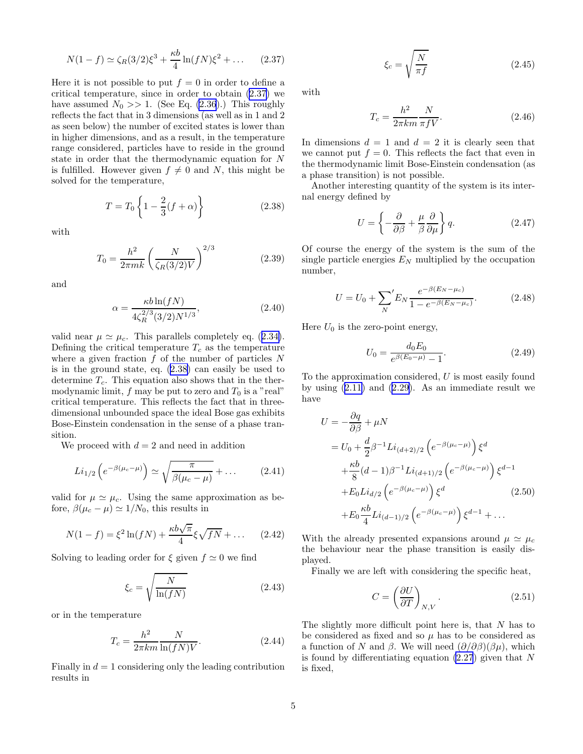<span id="page-4-0"></span>
$$
N(1 - f) \simeq \zeta_R(3/2)\xi^3 + \frac{\kappa b}{4}\ln(fN)\xi^2 + \dots \qquad (2.37)
$$

Here it is not possible to put  $f = 0$  in order to define a critical temperature, since in order to obtain (2.37) we have assumed  $N_0 >> 1$ . (See Eq. [\(2.36](#page-3-0)).) This roughly reflects the fact that in 3 dimensions (as well as in 1 and 2 as seen below) the number of excited states is lower than in higher dimensions, and as a result, in the temperature range considered, particles have to reside in the ground state in order that the thermodynamic equation for N is fulfilled. However given  $f \neq 0$  and N, this might be solved for the temperature,

$$
T = T_0 \left\{ 1 - \frac{2}{3} (f + \alpha) \right\}
$$
 (2.38)

with

$$
T_0 = \frac{h^2}{2\pi mk} \left(\frac{N}{\zeta_R(3/2)V}\right)^{2/3}
$$
 (2.39)

and

$$
\alpha = \frac{\kappa b \ln(fN)}{4\zeta_R^{2/3} (3/2)N^{1/3}},\tag{2.40}
$$

validnear  $\mu \simeq \mu_c$ . This parallels completely eq. ([2.34\)](#page-3-0). Defining the critical temperature  $T_c$  as the temperature where a given fraction  $f$  of the number of particles  $N$ is in the ground state, eq. (2.38) can easily be used to determine  $T_c$ . This equation also shows that in the thermodynamic limit,  $f$  may be put to zero and  $T_0$  is a "real" critical temperature. This reflects the fact that in threedimensional unbounded space the ideal Bose gas exhibits Bose-Einstein condensation in the sense of a phase transition.

We proceed with  $d = 2$  and need in addition

$$
Li_{1/2}\left(e^{-\beta(\mu_c-\mu)}\right) \simeq \sqrt{\frac{\pi}{\beta(\mu_c-\mu)}} + \dots \qquad (2.41)
$$

valid for  $\mu \simeq \mu_c$ . Using the same approximation as before,  $\beta(\mu_c - \mu) \simeq 1/N_0$ , this results in

$$
N(1 - f) = \xi^2 \ln(fN) + \frac{\kappa b \sqrt{\pi}}{4} \xi \sqrt{fN} + \dots
$$
 (2.42)

Solving to leading order for  $\xi$  given  $f \simeq 0$  we find

$$
\xi_c = \sqrt{\frac{N}{\ln(fN)}}\tag{2.43}
$$

or in the temperature

$$
T_c = \frac{h^2}{2\pi km} \frac{N}{\ln(fN)V}.
$$
\n(2.44)

Finally in  $d = 1$  considering only the leading contribution results in

$$
\xi_c = \sqrt{\frac{N}{\pi f}}\tag{2.45}
$$

with

$$
T_c = \frac{h^2}{2\pi km} \frac{N}{\pi fV}.
$$
\n(2.46)

In dimensions  $d = 1$  and  $d = 2$  it is clearly seen that we cannot put  $f = 0$ . This reflects the fact that even in the thermodynamic limit Bose-Einstein condensation (as a phase transition) is not possible.

Another interesting quantity of the system is its internal energy defined by

$$
U = \left\{ -\frac{\partial}{\partial \beta} + \frac{\mu}{\beta} \frac{\partial}{\partial \mu} \right\} q.
$$
 (2.47)

Of course the energy of the system is the sum of the single particle energies  $E<sub>N</sub>$  multiplied by the occupation number,

$$
U = U_0 + \sum_{N} 'E_N \frac{e^{-\beta(E_N - \mu_c)}}{1 - e^{-\beta(E_N - \mu_c)}}.
$$
 (2.48)

Here  $U_0$  is the zero-point energy,

$$
U_0 = \frac{d_0 E_0}{e^{\beta(E_0 - \mu)} - 1}.
$$
\n(2.49)

To the approximation considered, U is most easily found byusing  $(2.11)$  and  $(2.29)$  $(2.29)$ . As an immediate result we have

$$
U = -\frac{\partial q}{\partial \beta} + \mu N
$$
  
=  $U_0 + \frac{d}{2} \beta^{-1} Li_{(d+2)/2} \left( e^{-\beta(\mu_c - \mu)} \right) \xi^d$   
+  $\frac{\kappa b}{8} (d-1) \beta^{-1} Li_{(d+1)/2} \left( e^{-\beta(\mu_c - \mu)} \right) \xi^{d-1}$   
+  $E_0 Li_{d/2} \left( e^{-\beta(\mu_c - \mu)} \right) \xi^d$  (2.50)  
+  $E_0 \frac{\kappa b}{4} Li_{(d-1)/2} \left( e^{-\beta(\mu_c - \mu)} \right) \xi^{d-1} + ...$ 

With the already presented expansions around  $\mu \simeq \mu_c$ the behaviour near the phase transition is easily displayed.

Finally we are left with considering the specific heat,

$$
C = \left(\frac{\partial U}{\partial T}\right)_{N,V}.\tag{2.51}
$$

The slightly more difficult point here is, that N has to be considered as fixed and so  $\mu$  has to be considered as a function of N and β. We will need  $(\partial/\partial \beta)(\beta \mu)$ , which is found by differentiating equation  $(2.27)$  given that N is fixed,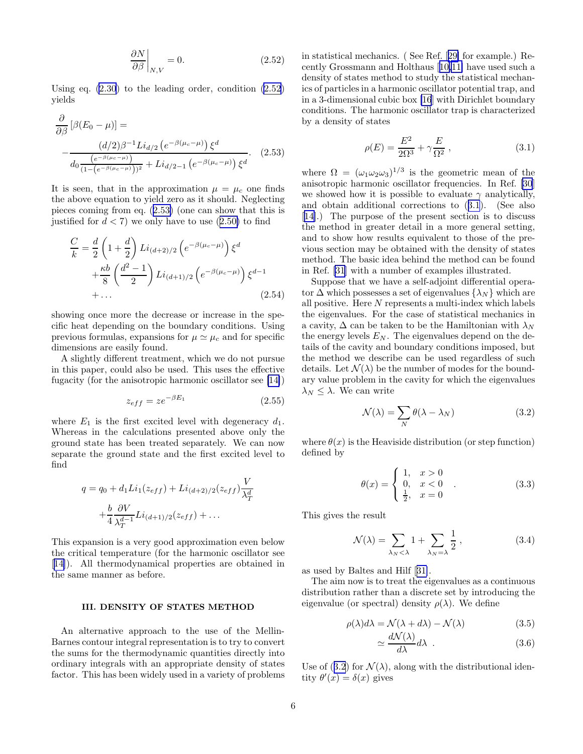$$
\left. \frac{\partial N}{\partial \beta} \right|_{N,V} = 0. \tag{2.52}
$$

Using eq. [\(2.30](#page-3-0)) to the leading order, condition (2.52) yields

$$
\frac{\partial}{\partial \beta} \left[ \beta (E_0 - \mu) \right] =
$$
\n
$$
- \frac{(d/2)\beta^{-1} Li_{d/2} \left( e^{-\beta(\mu_c - \mu)} \right) \xi^d}{d_0 \frac{(e^{-\beta(\mu_c - \mu)})^2}{(1 - (e^{-\beta(\mu_c - \mu)}))^2} + Li_{d/2 - 1} \left( e^{-\beta(\mu_c - \mu)} \right) \xi^d}.
$$
\n(2.53)

It is seen, that in the approximation  $\mu = \mu_c$  one finds the above equation to yield zero as it should. Neglecting pieces coming from eq. (2.53) (one can show that this is justifiedfor  $d < 7$ ) we only have to use  $(2.50)$  $(2.50)$  to find

$$
\frac{C}{k} = \frac{d}{2} \left( 1 + \frac{d}{2} \right) Li_{(d+2)/2} \left( e^{-\beta(\mu_c - \mu)} \right) \xi^d
$$

$$
+ \frac{\kappa b}{8} \left( \frac{d^2 - 1}{2} \right) Li_{(d+1)/2} \left( e^{-\beta(\mu_c - \mu)} \right) \xi^{d-1}
$$

$$
+ \dots \tag{2.54}
$$

showing once more the decrease or increase in the specific heat depending on the boundary conditions. Using previous formulas, expansions for  $\mu \simeq \mu_c$  and for specific dimensions are easily found.

A slightly different treatment, which we do not pursue in this paper, could also be used. This uses the effective fugacity (for the anisotropic harmonic oscillator see [\[14\]](#page-9-0))

$$
z_{eff} = z e^{-\beta E_1} \tag{2.55}
$$

where  $E_1$  is the first excited level with degeneracy  $d_1$ . Whereas in the calculations presented above only the ground state has been treated separately. We can now separate the ground state and the first excited level to find

$$
q = q_0 + d_1 Li_1(z_{eff}) + Li_{(d+2)/2}(z_{eff}) \frac{V}{\lambda_T^d}
$$

$$
+ \frac{b}{4} \frac{\partial V}{\lambda_T^{d-1}} Li_{(d+1)/2}(z_{eff}) + \dots
$$

This expansion is a very good approximation even below the critical temperature (for the harmonic oscillator see [[14\]](#page-9-0)). All thermodynamical properties are obtained in the same manner as before.

### III. DENSITY OF STATES METHOD

An alternative approach to the use of the Mellin-Barnes contour integral representation is to try to convert the sums for the thermodynamic quantities directly into ordinary integrals with an appropriate density of states factor. This has been widely used in a variety of problems in statistical mechanics. ( See Ref.[[29\]](#page-9-0) for example.) Recently Grossmann and Holthaus[[10,11\]](#page-9-0) have used such a density of states method to study the statistical mechanics of particles in a harmonic oscillator potential trap, and in a 3-dimensional cubic box [\[16](#page-9-0)] with Dirichlet boundary conditions. The harmonic oscillator trap is characterized by a density of states

$$
\rho(E) = \frac{E^2}{2\Omega^3} + \gamma \frac{E}{\Omega^2} ,\qquad (3.1)
$$

where  $\Omega = (\omega_1 \omega_2 \omega_3)^{1/3}$  is the geometric mean of the anisotropic harmonic oscillator frequencies. In Ref. [\[30](#page-9-0)] we showed how it is possible to evaluate  $\gamma$  analytically, and obtain additional corrections to (3.1). (See also [[14\]](#page-9-0).) The purpose of the present section is to discuss the method in greater detail in a more general setting, and to show how results equivalent to those of the previous section may be obtained with the density of states method. The basic idea behind the method can be found in Ref. [\[31](#page-9-0)] with a number of examples illustrated.

Suppose that we have a self-adjoint differential operator  $\Delta$  which possesses a set of eigenvalues  $\{\lambda_N\}$  which are all positive. Here  $N$  represents a multi-index which labels the eigenvalues. For the case of statistical mechanics in a cavity,  $\Delta$  can be taken to be the Hamiltonian with  $\lambda_N$ the energy levels  $E_N$ . The eigenvalues depend on the details of the cavity and boundary conditions imposed, but the method we describe can be used regardless of such details. Let  $\mathcal{N}(\lambda)$  be the number of modes for the boundary value problem in the cavity for which the eigenvalues  $\lambda_N \leq \lambda$ . We can write

$$
\mathcal{N}(\lambda) = \sum_{N} \theta(\lambda - \lambda_{N})
$$
\n(3.2)

where  $\theta(x)$  is the Heaviside distribution (or step function) defined by

$$
\theta(x) = \begin{cases} 1, & x > 0 \\ 0, & x < 0 \\ \frac{1}{2}, & x = 0 \end{cases}
$$
 (3.3)

This gives the result

$$
\mathcal{N}(\lambda) = \sum_{\lambda_N < \lambda} 1 + \sum_{\lambda_N = \lambda} \frac{1}{2},\tag{3.4}
$$

as used by Baltes and Hilf[[31\]](#page-9-0).

The aim now is to treat the eigenvalues as a continuous distribution rather than a discrete set by introducing the eigenvalue (or spectral) density  $\rho(\lambda)$ . We define

$$
\rho(\lambda)d\lambda = \mathcal{N}(\lambda + d\lambda) - \mathcal{N}(\lambda) \tag{3.5}
$$

$$
\simeq \frac{d\mathcal{N}(\lambda)}{d\lambda} d\lambda \tag{3.6}
$$

Use of (3.2) for  $\mathcal{N}(\lambda)$ , along with the distributional identity  $\theta'(x) = \delta(x)$  gives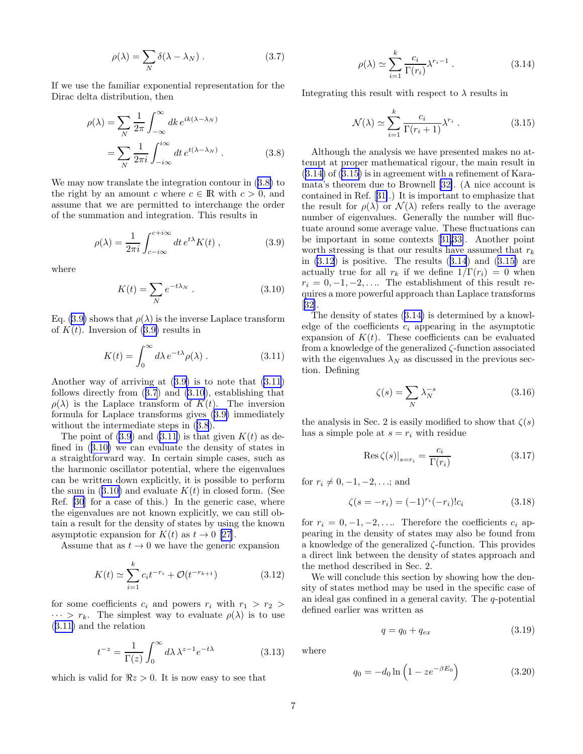$$
\rho(\lambda) = \sum_{N} \delta(\lambda - \lambda_N) . \tag{3.7}
$$

<span id="page-6-0"></span>If we use the familiar exponential representation for the Dirac delta distribution, then

$$
\rho(\lambda) = \sum_{N} \frac{1}{2\pi} \int_{-\infty}^{\infty} dk \, e^{ik(\lambda - \lambda_N)} \n= \sum_{N} \frac{1}{2\pi i} \int_{-i\infty}^{i\infty} dt \, e^{i(\lambda - \lambda_N)} .
$$
\n(3.8)

We may now translate the integration contour in (3.8) to the right by an amount c where  $c \in \mathbb{R}$  with  $c > 0$ , and assume that we are permitted to interchange the order of the summation and integration. This results in

$$
\rho(\lambda) = \frac{1}{2\pi i} \int_{c-i\infty}^{c+i\infty} dt \, e^{t\lambda} K(t) \,, \tag{3.9}
$$

where

$$
K(t) = \sum_{N} e^{-t\lambda_N} . \qquad (3.10)
$$

Eq. (3.9) shows that  $\rho(\lambda)$  is the inverse Laplace transform of  $K(t)$ . Inversion of (3.9) results in

$$
K(t) = \int_0^\infty d\lambda \, e^{-t\lambda} \rho(\lambda) \,. \tag{3.11}
$$

Another way of arriving at (3.9) is to note that (3.11) follows directly from (3.7) and (3.10), establishing that  $\rho(\lambda)$  is the Laplace transform of  $K(t)$ . The inversion formula for Laplace transforms gives (3.9) immediately without the intermediate steps in (3.8).

The point of  $(3.9)$  and  $(3.11)$  is that given  $K(t)$  as defined in (3.10) we can evaluate the density of states in a straightforward way. In certain simple cases, such as the harmonic oscillator potential, where the eigenvalues can be written down explicitly, it is possible to perform the sum in  $(3.10)$  and evaluate  $K(t)$  in closed form. (See Ref. [\[30](#page-9-0)] for a case of this.) In the generic case, where the eigenvalues are not known explicitly, we can still obtain a result for the density of states by using the known asymptotic expansion for  $K(t)$  as  $t \to 0$  [\[27](#page-9-0)].

Assume that as  $t \to 0$  we have the generic expansion

$$
K(t) \simeq \sum_{i=1}^{k} c_i t^{-r_i} + \mathcal{O}(t^{-r_{k+1}})
$$
 (3.12)

for some coefficients  $c_i$  and powers  $r_i$  with  $r_1 > r_2 >$  $\cdots > r_k$ . The simplest way to evaluate  $\rho(\lambda)$  is to use (3.11) and the relation

$$
t^{-z} = \frac{1}{\Gamma(z)} \int_0^\infty d\lambda \,\lambda^{z-1} e^{-t\lambda} \tag{3.13}
$$

which is valid for  $\Re z > 0$ . It is now easy to see that

$$
\rho(\lambda) \simeq \sum_{i=1}^{k} \frac{c_i}{\Gamma(r_i)} \lambda^{r_i - 1} . \tag{3.14}
$$

Integrating this result with respect to  $\lambda$  results in

$$
\mathcal{N}(\lambda) \simeq \sum_{i=1}^{k} \frac{c_i}{\Gamma(r_i+1)} \lambda^{r_i} . \tag{3.15}
$$

Although the analysis we have presented makes no attempt at proper mathematical rigour, the main result in (3.14) of (3.15) is in agreement with a refinement of Karamata's theorem due to Brownell [\[32\]](#page-9-0). (A nice account is contained in Ref.[[31\]](#page-9-0).) It is important to emphasize that the result for  $\rho(\lambda)$  or  $\mathcal{N}(\lambda)$  refers really to the average number of eigenvalues. Generally the number will fluctuate around some average value. These fluctuations can be important in some contexts[[31,33\]](#page-9-0). Another point worth stressing is that our results have assumed that  $r_k$ in  $(3.12)$  is positive. The results  $(3.14)$  and  $(3.15)$  are actually true for all  $r_k$  if we define  $1/\Gamma(r_i) = 0$  when  $r_i = 0, -1, -2, \ldots$  The establishment of this result requires a more powerful approach than Laplace transforms [[32\]](#page-9-0).

The density of states (3.14) is determined by a knowledge of the coefficients  $c_i$  appearing in the asymptotic expansion of  $K(t)$ . These coefficients can be evaluated from a knowledge of the generalized ζ-function associated with the eigenvalues  $\lambda_N$  as discussed in the previous section. Defining

$$
\zeta(s) = \sum_{N} \lambda_N^{-s} \tag{3.16}
$$

the analysis in Sec. 2 is easily modified to show that  $\zeta(s)$ has a simple pole at  $s = r_i$  with residue

$$
\operatorname{Res}\zeta(s)|_{s=r_i} = \frac{c_i}{\Gamma(r_i)}\tag{3.17}
$$

for  $r_i \neq 0, -1, -2, \ldots;$  and

$$
\zeta(s = -r_i) = (-1)^{r_i} (-r_i)! c_i \tag{3.18}
$$

for  $r_i = 0, -1, -2, \ldots$  Therefore the coefficients  $c_i$  appearing in the density of states may also be found from a knowledge of the generalized  $\zeta$ -function. This provides a direct link between the density of states approach and the method described in Sec. 2.

We will conclude this section by showing how the density of states method may be used in the specific case of an ideal gas confined in a general cavity. The q-potential defined earlier was written as

$$
q = q_0 + q_{ex} \tag{3.19}
$$

where

$$
q_0 = -d_0 \ln \left( 1 - z e^{-\beta E_0} \right) \tag{3.20}
$$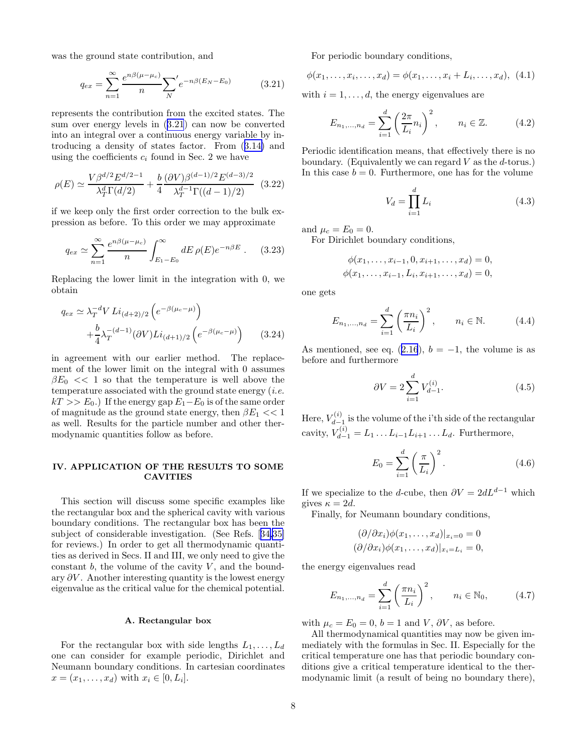was the ground state contribution, and

$$
q_{ex} = \sum_{n=1}^{\infty} \frac{e^{n\beta(\mu - \mu_c)}}{n} \sum_{N}^{\prime} e^{-n\beta(E_N - E_0)}
$$
(3.21)

represents the contribution from the excited states. The sum over energy levels in (3.21) can now be converted into an integral over a continuous energy variable by introducing a density of states factor. From([3.14\)](#page-6-0) and using the coefficients  $c_i$  found in Sec. 2 we have

$$
\rho(E) \simeq \frac{V\beta^{d/2} E^{d/2 - 1}}{\lambda_T^d \Gamma(d/2)} + \frac{b}{4} \frac{(\partial V)\beta^{(d-1)/2} E^{(d-3)/2}}{\lambda_T^{d-1} \Gamma((d-1)/2)} \tag{3.22}
$$

if we keep only the first order correction to the bulk expression as before. To this order we may approximate

$$
q_{ex} \simeq \sum_{n=1}^{\infty} \frac{e^{n\beta(\mu - \mu_c)}}{n} \int_{E_1 - E_0}^{\infty} dE \,\rho(E) e^{-n\beta E} \,. \tag{3.23}
$$

Replacing the lower limit in the integration with 0, we obtain

$$
q_{ex} \simeq \lambda_T^{-d} V L i_{(d+2)/2} \left( e^{-\beta(\mu_c - \mu)} \right) + \frac{b}{4} \lambda_T^{-(d-1)} (\partial V) L i_{(d+1)/2} \left( e^{-\beta(\mu_c - \mu)} \right)
$$
(3.24)

in agreement with our earlier method. The replacement of the lower limit on the integral with 0 assumes  $\beta E_0 \ll 1$  so that the temperature is well above the temperature associated with the ground state energy  $(i.e.$  $kT >> E_0$ .) If the energy gap  $E_1-E_0$  is of the same order of magnitude as the ground state energy, then  $\beta E_1 \ll 1$ as well. Results for the particle number and other thermodynamic quantities follow as before.

## IV. APPLICATION OF THE RESULTS TO SOME CAVITIES

This section will discuss some specific examples like the rectangular box and the spherical cavity with various boundary conditions. The rectangular box has been the subject of considerable investigation. (See Refs.[[34,35\]](#page-9-0) for reviews.) In order to get all thermodynamic quantities as derived in Secs. II and III, we only need to give the constant  $b$ , the volume of the cavity  $V$ , and the boundary  $\partial V$ . Another interesting quantity is the lowest energy eigenvalue as the critical value for the chemical potential.

### A. Rectangular box

For the rectangular box with side lengths  $L_1, \ldots, L_d$ one can consider for example periodic, Dirichlet and Neumann boundary conditions. In cartesian coordinates  $x = (x_1, ..., x_d)$  with  $x_i \in [0, L_i]$ .

For periodic boundary conditions,

$$
\phi(x_1,\ldots,x_i,\ldots,x_d)=\phi(x_1,\ldots,x_i+L_i,\ldots,x_d),\,\,(4.1)
$$

with  $i = 1, \ldots, d$ , the energy eigenvalues are

$$
E_{n_1,...,n_d} = \sum_{i=1}^d \left(\frac{2\pi}{L_i} n_i\right)^2, \qquad n_i \in \mathbb{Z}.\tag{4.2}
$$

Periodic identification means, that effectively there is no boundary. (Equivalently we can regard  $V$  as the  $d$ -torus.) In this case  $b = 0$ . Furthermore, one has for the volume

$$
V_d = \prod_{i=1}^d L_i \tag{4.3}
$$

and  $\mu_c = E_0 = 0$ .

For Dirichlet boundary conditions,

$$
\phi(x_1, \dots, x_{i-1}, 0, x_{i+1}, \dots, x_d) = 0, \n\phi(x_1, \dots, x_{i-1}, L_i, x_{i+1}, \dots, x_d) = 0,
$$

one gets

$$
E_{n_1,...,n_d} = \sum_{i=1}^d \left(\frac{\pi n_i}{L_i}\right)^2, \qquad n_i \in \mathbb{N}.
$$
 (4.4)

Asmentioned, see eq.  $(2.16)$  $(2.16)$  $(2.16)$ ,  $b = -1$ , the volume is as before and furthermore

$$
\partial V = 2 \sum_{i=1}^{d} V_{d-1}^{(i)}.
$$
\n(4.5)

Here,  $V_{d-}^{(i)}$  $\frac{\sigma^{(i)}}{d-1}$  is the volume of the i'th side of the rectangular cavity,  $V_{d-1}^{(i)} = L_1 \dots L_{i-1} L_{i+1} \dots L_d$ . Furthermore,

$$
E_0 = \sum_{i=1}^d \left(\frac{\pi}{L_i}\right)^2.
$$
 (4.6)

If we specialize to the d-cube, then  $\partial V = 2dL^{d-1}$  which gives  $\kappa = 2d$ .

Finally, for Neumann boundary conditions,

$$
(\partial/\partial x_i)\phi(x_1,\ldots,x_d)|_{x_i=0}=0
$$
  

$$
(\partial/\partial x_i)\phi(x_1,\ldots,x_d)|_{x_i=L_i}=0,
$$

the energy eigenvalues read

$$
E_{n_1,...,n_d} = \sum_{i=1}^d \left(\frac{\pi n_i}{L_i}\right)^2, \qquad n_i \in \mathbb{N}_0,
$$
 (4.7)

with  $\mu_c = E_0 = 0, b = 1$  and  $V, \partial V$ , as before.

All thermodynamical quantities may now be given immediately with the formulas in Sec. II. Especially for the critical temperature one has that periodic boundary conditions give a critical temperature identical to the thermodynamic limit (a result of being no boundary there),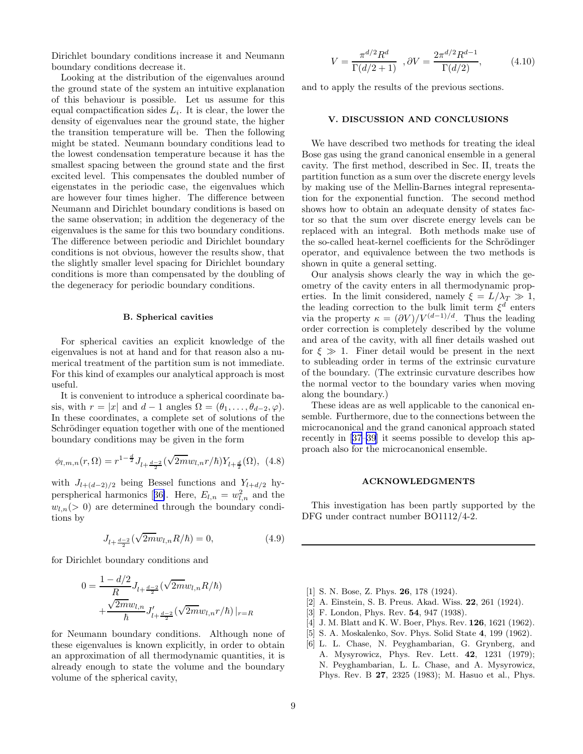<span id="page-8-0"></span>Dirichlet boundary conditions increase it and Neumann boundary conditions decrease it.

Looking at the distribution of the eigenvalues around the ground state of the system an intuitive explanation of this behaviour is possible. Let us assume for this equal compactification sides  $L_i$ . It is clear, the lower the density of eigenvalues near the ground state, the higher the transition temperature will be. Then the following might be stated. Neumann boundary conditions lead to the lowest condensation temperature because it has the smallest spacing between the ground state and the first excited level. This compensates the doubled number of eigenstates in the periodic case, the eigenvalues which are however four times higher. The difference between Neumann and Dirichlet boundary conditions is based on the same observation; in addition the degeneracy of the eigenvalues is the same for this two boundary conditions. The difference between periodic and Dirichlet boundary conditions is not obvious, however the results show, that the slightly smaller level spacing for Dirichlet boundary conditions is more than compensated by the doubling of the degeneracy for periodic boundary conditions.

#### B. Spherical cavities

For spherical cavities an explicit knowledge of the eigenvalues is not at hand and for that reason also a numerical treatment of the partition sum is not immediate. For this kind of examples our analytical approach is most useful.

It is convenient to introduce a spherical coordinate basis, with  $r = |x|$  and  $d - 1$  angles  $\Omega = (\theta_1, \dots, \theta_{d-2}, \varphi)$ . In these coordinates, a complete set of solutions of the Schrödinger equation together with one of the mentioned boundary conditions may be given in the form

$$
\phi_{l,m,n}(r,\Omega) = r^{1-\frac{d}{2}} J_{l+\frac{d-2}{2}} (\sqrt{2m} w_{l,n} r/\hbar) Y_{l+\frac{d}{2}}(\Omega), \tag{4.8}
$$

with  $J_{l+(d-2)/2}$  being Bessel functions and  $Y_{l+d/2}$  hy-persphericalharmonics [[36\]](#page-9-0). Here,  $E_{l,n} = w_{l,n}^2$  and the  $w_{l,n}$  (> 0) are determined through the boundary conditions by

$$
J_{l+\frac{d-2}{2}}(\sqrt{2m}w_{l,n}R/\hbar)=0, \eqno{(4.9)}
$$

for Dirichlet boundary conditions and

$$
0 = \frac{1 - d/2}{R} J_{l + \frac{d-2}{2}} (\sqrt{2m} w_{l,n} R/\hbar)
$$

$$
+ \frac{\sqrt{2m} w_{l,n}}{\hbar} J'_{l + \frac{d-2}{2}} (\sqrt{2m} w_{l,n} r/\hbar) |_{r = R}
$$

for Neumann boundary conditions. Although none of these eigenvalues is known explicitly, in order to obtain an approximation of all thermodynamic quantities, it is already enough to state the volume and the boundary volume of the spherical cavity,

$$
V = \frac{\pi^{d/2} R^d}{\Gamma(d/2 + 1)}, \, \partial V = \frac{2\pi^{d/2} R^{d-1}}{\Gamma(d/2)},\tag{4.10}
$$

and to apply the results of the previous sections.

### V. DISCUSSION AND CONCLUSIONS

We have described two methods for treating the ideal Bose gas using the grand canonical ensemble in a general cavity. The first method, described in Sec. II, treats the partition function as a sum over the discrete energy levels by making use of the Mellin-Barnes integral representation for the exponential function. The second method shows how to obtain an adequate density of states factor so that the sum over discrete energy levels can be replaced with an integral. Both methods make use of the so-called heat-kernel coefficients for the Schrödinger operator, and equivalence between the two methods is shown in quite a general setting.

Our analysis shows clearly the way in which the geometry of the cavity enters in all thermodynamic properties. In the limit considered, namely  $\xi = L/\lambda_T \gg 1$ , the leading correction to the bulk limit term  $\xi^d$  enters via the property  $\kappa = (\partial V)/V^{(d-1)/d}$ . Thus the leading order correction is completely described by the volume and area of the cavity, with all finer details washed out for  $\xi \gg 1$ . Finer detail would be present in the next to subleading order in terms of the extrinsic curvature of the boundary. (The extrinsic curvature describes how the normal vector to the boundary varies when moving along the boundary.)

These ideas are as well applicable to the canonical ensemble. Furthermore, due to the connections between the microcanonical and the grand canonical approach stated recently in [\[37–39](#page-9-0)] it seems possible to develop this approach also for the microcanonical ensemble.

### ACKNOWLEDGMENTS

This investigation has been partly supported by the DFG under contract number BO1112/4-2.

- [1] S. N. Bose, Z. Phys. 26, 178 (1924).
- [2] A. Einstein, S. B. Preus. Akad. Wiss. 22, 261 (1924).
- [3] F. London, Phys. Rev. 54, 947 (1938).
- [4] J. M. Blatt and K. W. Boer, Phys. Rev. **126**, 1621 (1962).
- [5] S. A. Moskalenko, Sov. Phys. Solid State 4, 199 (1962).
- [6] L. L. Chase, N. Peyghambarian, G. Grynberg, and A. Mysyrowicz, Phys. Rev. Lett. 42, 1231 (1979); N. Peyghambarian, L. L. Chase, and A. Mysyrowicz, Phys. Rev. B 27, 2325 (1983); M. Hasuo et al., Phys.